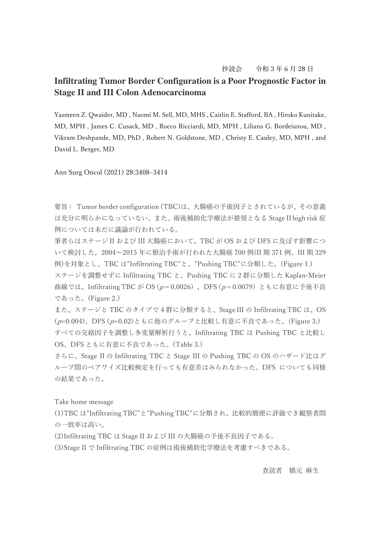## 抄読会 令和 3 年 6 月 28 日

## **Infiltrating Tumor Border Configuration is a Poor Prognostic Factor in Stage II and III Colon Adenocarcinoma**

Yasmeen Z. Qwaider, MD , Naomi M. Sell, MD, MHS , Caitlin E. Stafford, BA , Hiroko Kunitake, MD, MPH , James C. Cusack, MD , Rocco Ricciardi, MD, MPH , Liliana G. Bordeianou, MD , Vikram Deshpande, MD, PhD , Robert N. Goldstone, MD , Christy E. Cauley, MD, MPH , and David L. Berger, MD

Ann Surg Oncol (2021) 28:3408–3414

要旨: Tumor border configuration (TBC)は、大腸癌の予後因子とされているが、その意義 は充分に明らかになっていない。また、術後補助化学療法が推奨となる Stage II high risk 症 例については未だに議論が行われている。

筆者らはステージ II および III 大腸癌において、TBC が OS および DFS に及ぼす影響につ いて検討した。2004〜2015 年に根治手術が行われた大腸癌 700 例(II 期 371 例、III 期 329 例)を対象とし、TBC は"Infiltrating TBC"と、"Pushing TBC"に分類した。(Figure 1.)

ステージを調整せずに Infiltrating TBC と、Pushing TBC に 2 群に分類した Kaplan-Meier 曲線では、Infiltrating TBC が OS ( $p = 0.0026$ )、DFS ( $p = 0.0079$ ) ともに有意に予後不良 であった。(Figure 2.)

また、ステージと TBC のタイプで 4 群に分類すると、Stage III の Infiltrating TBC は、OS (p=0.004)、DFS (p=0.02)ともに他のグループと比較し有意に不良であった。(Figure 3.) すべての交絡因子を調整し多変量解析行うと、Infiltrating TBC は Pushing TBC と比較し OS、DFS ともに有意に不良であった。(Table 3.)

さらに、Stage II の Infiltrating TBC と Stage III の Pushing TBC の OS のハザード比はグ ループ間のペアワイズ比較検定を行っても有意差はみられなかった。DFS についても同様 の結果であった。

Take home message

(1)TBC は"Infiltrating TBC"と"Pushing TBC"に分類され、比較的簡便に評価でき観察者間 の一致率は高い。

(2)Infiltrating TBC は Stage II および III の大腸癌の予後不良因子である。

(3)Stage II で Infiltrating TBC の症例は術後補助化学療法を考慮すべきである。

## 査読者 橋元 麻生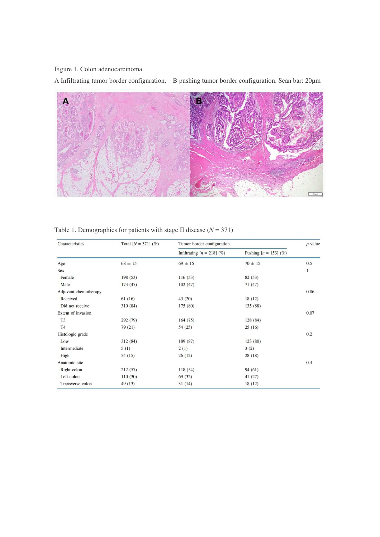Figure 1. Colon adenocarcinoma.

A Infiltrating tumor border configuration, B pushing tumor border configuration. Scan bar: 20μm



| Characteristics       | Total $[N = 371]$ (%) | Tumor border configuration   |                         | $p$ value |
|-----------------------|-----------------------|------------------------------|-------------------------|-----------|
|                       |                       | Infiltrating $[n = 218]$ (%) | Pushing $[n = 153]$ (%) |           |
| Age                   | $68 \pm 15$           | $69 \pm 15$                  | $70 \pm 15$             | 0.5       |
| Sex                   |                       |                              |                         | 1         |
| Female                | 198(53)               | 116(53)                      | 82 (53)                 |           |
| Male                  | 173(47)               | 102(47)                      | 71(47)                  |           |
| Adjuvant chemotherapy |                       |                              |                         | 0.06      |
| Received              | 61(16)                | 43(20)                       | 18(12)                  |           |
| Did not receive       | 310 (84)              | 175 (80)                     | 135 (88)                |           |
| Extent of invasion    |                       |                              |                         | 0.07      |
| T <sub>3</sub>        | 292 (79)              | 164(75)                      | 128 (84)                |           |
| T <sub>4</sub>        | 79(21)                | 54(25)                       | 25(16)                  |           |
| Histologic grade      |                       |                              |                         | 0.2       |
| Low                   | 312 (84)              | 189 (87)                     | 123 (80)                |           |
| Intermediate          | 5(1)                  | 2(1)                         | 3(2)                    |           |
| High                  | 54(15)                | 26(12)                       | 28(18)                  |           |
| Anatomic site         |                       |                              |                         | 0.4       |
| Right colon           | 212(57)               | 118(54)                      | 94(61)                  |           |
| Left colon            | 110(30)               | 69(32)                       | 41(27)                  |           |
| Transverse colon      | 49(13)                | 31(14)                       | 18(12)                  |           |

## Table 1. Demographics for patients with stage II disease  $(N = 371)$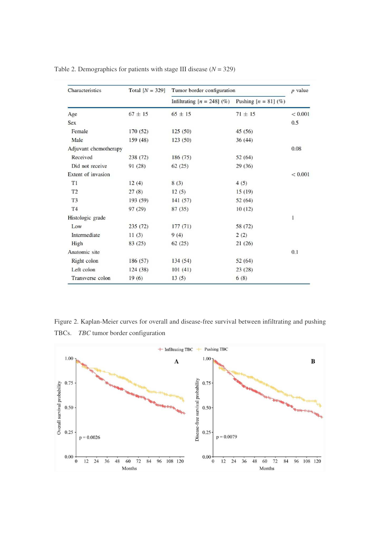| Characteristics       | Total $[N = 329]$ | Tumor border configuration   |                        | $p$ value |
|-----------------------|-------------------|------------------------------|------------------------|-----------|
|                       |                   | Infiltrating $[n = 248]$ (%) | Pushing $[n = 81]$ (%) |           |
| Age                   | $67 \pm 15$       | $65 \pm 15$                  | $71 \pm 15$            | < 0.001   |
| <b>Sex</b>            |                   |                              |                        | 0.5       |
| Female                | 170(52)           | 125(50)                      | 45(56)                 |           |
| Male                  | 159 (48)          | 123(50)                      | 36(44)                 |           |
| Adjuvant chemotherapy |                   |                              |                        |           |
| Received              | 238 (72)          | 186 (75)                     | 52(64)                 |           |
| Did not receive       | 91 (28)           | 62(25)                       | 29(36)                 |           |
| Extent of invasion    |                   |                              |                        | < 0.001   |
| T1                    | 12(4)             | 8(3)                         | 4(5)                   |           |
| T <sub>2</sub>        | 27(8)             | 12(5)                        | 15(19)                 |           |
| T <sub>3</sub>        | 193 (59)          | 141(57)                      | 52(64)                 |           |
| T <sub>4</sub>        | 97 (29)           | 87(35)                       | 10(12)                 |           |
| Histologic grade      |                   |                              |                        | 1         |
| Low                   | 235(72)           | 177(71)                      | 58 (72)                |           |
| Intermediate          | 11(3)             | 9(4)                         | 2(2)                   |           |
| High                  | 83(25)            | 62(25)                       | 21(26)                 |           |
| Anatomic site         |                   |                              |                        | 0.1       |
| Right colon           | 186 (57)          | 134(54)                      | 52(64)                 |           |
| Left colon            | 124(38)           | 101(41)                      | 23(28)                 |           |
| Transverse colon      | 19(6)             | 13(5)                        | 6(8)                   |           |

Table 2. Demographics for patients with stage III disease  $(N = 329)$ 

Figure 2. Kaplan-Meier curves for overall and disease-free survival between infiltrating and pushing TBCs. *TBC* tumor border configuration